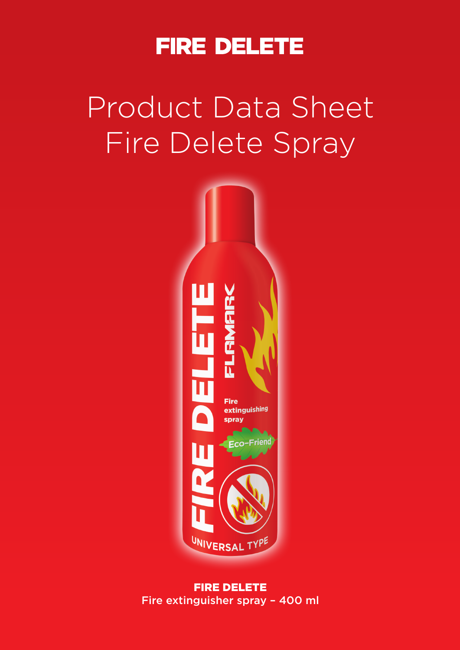

# Product Data Sheet Fire Delete Spray



FIRE DELETE Fire extinguisher spray – 400 ml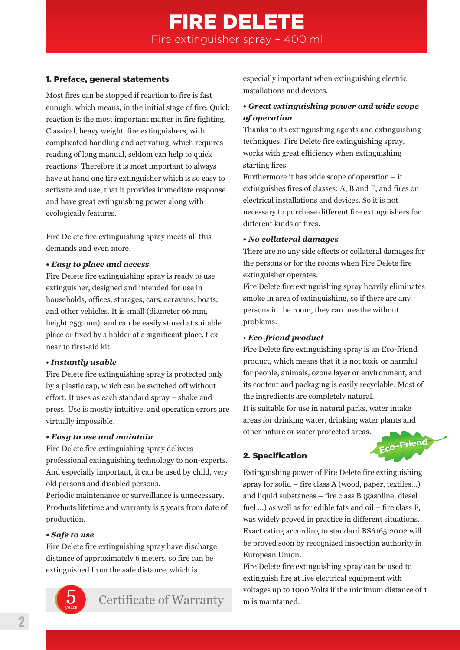## FIRE DELETE Fire extinguisher spray – 400 ml

#### 1. Preface, general statements

Most fires can be stopped if reaction to fire is fast enough, which means, in the initial stage of fire. Quick reaction is the most important matter in fire fighting. Classical, heavy weight fire extinguishers, with complicated handling and activating, which requires reading of long manual, seldom can help to quick reactions. Therefore it is most important to always have at hand one fire extinguisher which is so easy to activate and use, that it provides immediate response and have great extinguishing power along with ecologically features.

Fire Delete fire extinguishing spray meets all this demands and even more.

#### *• Easy to place and access*

Fire Delete fire extinguishing spray is ready to use extinguisher, designed and intended for use in households, offices, storages, cars, caravans, boats, and other vehicles. It is small (diameter 66 mm, height 253 mm), and can be easily stored at suitable place or fixed by a holder at a significant place, t ex near to first-aid kit.

#### • *Instantly usable*

Fire Delete fire extinguishing spray is protected only by a plastic cap, which can be switched off without effort. It uses as each standard spray – shake and press. Use is mostly intuitive, and operation errors are virtually impossible.

#### *• Easy to use and maintain*

Fire Delete fire extinguishing spray delivers professional extinguishing technology to non-experts. And especially important, it can be used by child, very old persons and disabled persons.

Periodic maintenance or surveillance is unnecessary. Products lifetime and warranty is 5 years from date of production.

#### *• Safe to use*

Fire Delete fire extinguishing spray have discharge distance of approximately 6 meters, so fire can be extinguished from the safe distance, which is



Certificate of Warranty

especially important when extinguishing electric installations and devices.

#### *• Great extinguishing power and wide scope of operation*

Thanks to its extinguishing agents and extinguishing techniques, Fire Delete fire extinguishing spray, works with great efficiency when extinguishing starting fires.

Furthermore it has wide scope of operation – it extinguishes fires of classes: A, B and F, and fires on electrical installations and devices. So it is not necessary to purchase different fire extinguishers for different kinds of fires.

#### *• No collateral damages*

There are no any side effects or collateral damages for the persons or for the rooms when Fire Delete fire extinguisher operates.

Fire Delete fire extinguishing spray heavily eliminates smoke in area of extinguishing, so if there are any persons in the room, they can breathe without problems.

#### • *Eco-friend product*

Fire Delete fire extinguishing spray is an Eco-friend product, which means that it is not toxic or harmful for people, animals, ozone layer or environment, and its content and packaging is easily recyclable. Most of the ingredients are completely natural.

It is suitable for use in natural parks, water intake areas for drinking water, drinking water plants and other nature or water protected areas.

#### 2. Specification



Extinguishing power of Fire Delete fire extinguishing spray for solid – fire class A (wood, paper, textiles...) and liquid substances – fire class B (gasoline, diesel fuel ...) as well as for edible fats and oil – fire class F, was widely proved in practice in different situations. Exact rating according to standard BS6165:2002 will be proved soon by recognized inspection authority in European Union.

Fire Delete fire extinguishing spray can be used to extinguish fire at live electrical equipment with voltages up to 1000 Volts if the minimum distance of 1 m is maintained. integral compounds to the minimum distance of a type of Warranty coltages up to 1000 Volts if the minimum distance of 1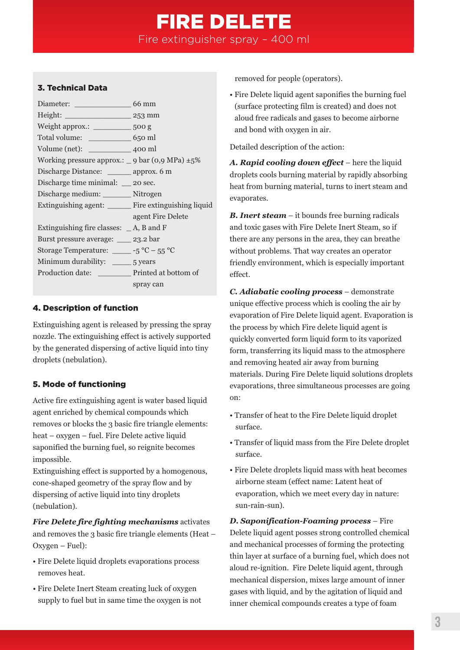# FIRE DELETE

Fire extinguisher spray – 400 ml

#### 3. Technical Data

| Height: 253 mm                                              |                   |
|-------------------------------------------------------------|-------------------|
| Weight approx.: 500 g                                       |                   |
|                                                             |                   |
|                                                             |                   |
| Working pressure approx.: $\angle$ 9 bar (0,9 MPa) $\pm$ 5% |                   |
| Discharge Distance: ______ approx. 6 m                      |                   |
| Discharge time minimal: __ 20 sec.                          |                   |
| Discharge medium: ________ Nitrogen                         |                   |
| Extinguishing agent: ________ Fire extinguishing liquid     |                   |
|                                                             | agent Fire Delete |
| Extinguishing fire classes: $A$ , B and F                   |                   |
| Burst pressure average: 23.2 bar                            |                   |
| Storage Temperature: $\_\_\_5^{\circ}C - 55^{\circ}C$       |                   |
|                                                             |                   |
| Production date: __________ Printed at bottom of            |                   |
|                                                             | spray can         |
|                                                             |                   |

#### 4. Description of function

Extinguishing agent is released by pressing the spray nozzle. The extinguishing effect is actively supported by the generated dispersing of active liquid into tiny droplets (nebulation).

#### 5. Mode of functioning

Active fire extinguishing agent is water based liquid agent enriched by chemical compounds which removes or blocks the 3 basic fire triangle elements: heat – oxygen – fuel. Fire Delete active liquid saponified the burning fuel, so reignite becomes impossible.

Extinguishing effect is supported by a homogenous, cone-shaped geometry of the spray flow and by dispersing of active liquid into tiny droplets (nebulation).

*Fire Delete fire fighting mechanisms* activates and removes the 3 basic fire triangle elements (Heat – Oxygen – Fuel):

- Fire Delete liquid droplets evaporations process removes heat.
- Fire Delete Inert Steam creating luck of oxygen supply to fuel but in same time the oxygen is not

removed for people (operators).

• Fire Delete liquid agent saponifies the burning fuel (surface protecting film is created) and does not aloud free radicals and gases to become airborne and bond with oxygen in air.

Detailed description of the action:

*A. Rapid cooling down effect* – here the liquid droplets cools burning material by rapidly absorbing heat from burning material, turns to inert steam and evaporates.

*B. Inert steam* – it bounds free burning radicals and toxic gases with Fire Delete Inert Steam, so if there are any persons in the area, they can breathe without problems. That way creates an operator friendly environment, which is especially important effect.

*C. Adiabatic cooling process* – demonstrate unique effective process which is cooling the air by evaporation of Fire Delete liquid agent. Evaporation is the process by which Fire delete liquid agent is quickly converted form liquid form to its vaporized form, transferring its liquid mass to the atmosphere and removing heated air away from burning materials. During Fire Delete liquid solutions droplets evaporations, three simultaneous processes are going on:

- Transfer of heat to the Fire Delete liquid droplet surface.
- Transfer of liquid mass from the Fire Delete droplet surface.
- Fire Delete droplets liquid mass with heat becomes airborne steam (effect name: Latent heat of evaporation, which we meet every day in nature: sun-rain-sun).

*D. Saponification-Foaming process* – Fire Delete liquid agent posses strong controlled chemical and mechanical processes of forming the protecting thin layer at surface of a burning fuel, which does not aloud re-ignition. Fire Delete liquid agent, through mechanical dispersion, mixes large amount of inner gases with liquid, and by the agitation of liquid and inner chemical compounds creates a type of foam